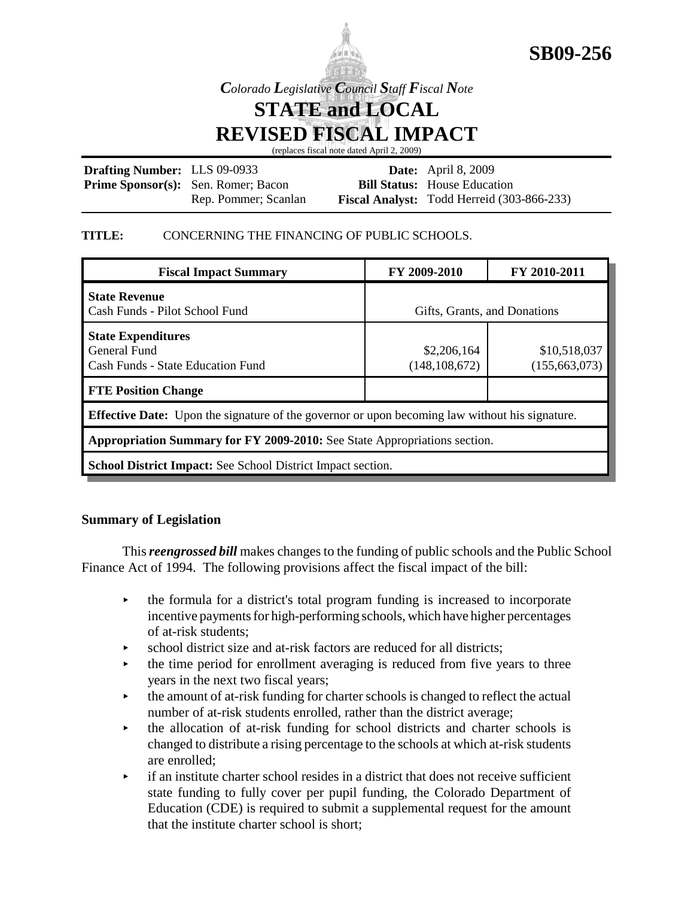



*Colorado Legislative Council Staff Fiscal Note*

**STATE and LOCAL**

**REVISED FISCAL IMPACT**

(replaces fiscal note dated April 2, 2009)

| <b>Drafting Number:</b> LLS 09-0933 |                                            | <b>Date:</b> April 8, 2009                        |
|-------------------------------------|--------------------------------------------|---------------------------------------------------|
|                                     | <b>Prime Sponsor(s):</b> Sen. Romer; Bacon | <b>Bill Status:</b> House Education               |
|                                     | Rep. Pommer; Scanlan                       | <b>Fiscal Analyst:</b> Todd Herreid (303-866-233) |

### **TITLE:** CONCERNING THE FINANCING OF PUBLIC SCHOOLS.

| <b>Fiscal Impact Summary</b>                                                                          | FY 2009-2010                   | FY 2010-2011                    |  |  |
|-------------------------------------------------------------------------------------------------------|--------------------------------|---------------------------------|--|--|
| <b>State Revenue</b><br>Cash Funds - Pilot School Fund                                                | Gifts, Grants, and Donations   |                                 |  |  |
| <b>State Expenditures</b><br>General Fund<br><b>Cash Funds - State Education Fund</b>                 | \$2,206,164<br>(148, 108, 672) | \$10,518,037<br>(155, 663, 073) |  |  |
| <b>FTE Position Change</b>                                                                            |                                |                                 |  |  |
| <b>Effective Date:</b> Upon the signature of the governor or upon becoming law without his signature. |                                |                                 |  |  |
| Appropriation Summary for FY 2009-2010: See State Appropriations section.                             |                                |                                 |  |  |
| School District Impact: See School District Impact section.                                           |                                |                                 |  |  |

# **Summary of Legislation**

This *reengrossed bill* makes changes to the funding of public schools and the Public School Finance Act of 1994. The following provisions affect the fiscal impact of the bill:

- $\rightarrow$  the formula for a district's total program funding is increased to incorporate incentive payments for high-performing schools, which have higher percentages of at-risk students;
- $\triangleright$  school district size and at-risk factors are reduced for all districts;
- $\rightarrow$  the time period for enrollment averaging is reduced from five years to three years in the next two fiscal years;
- $\rightarrow$  the amount of at-risk funding for charter schools is changed to reflect the actual number of at-risk students enrolled, rather than the district average;
- $\rightarrow$  the allocation of at-risk funding for school districts and charter schools is changed to distribute a rising percentage to the schools at which at-risk students are enrolled;
- $\cdot$  if an institute charter school resides in a district that does not receive sufficient state funding to fully cover per pupil funding, the Colorado Department of Education (CDE) is required to submit a supplemental request for the amount that the institute charter school is short;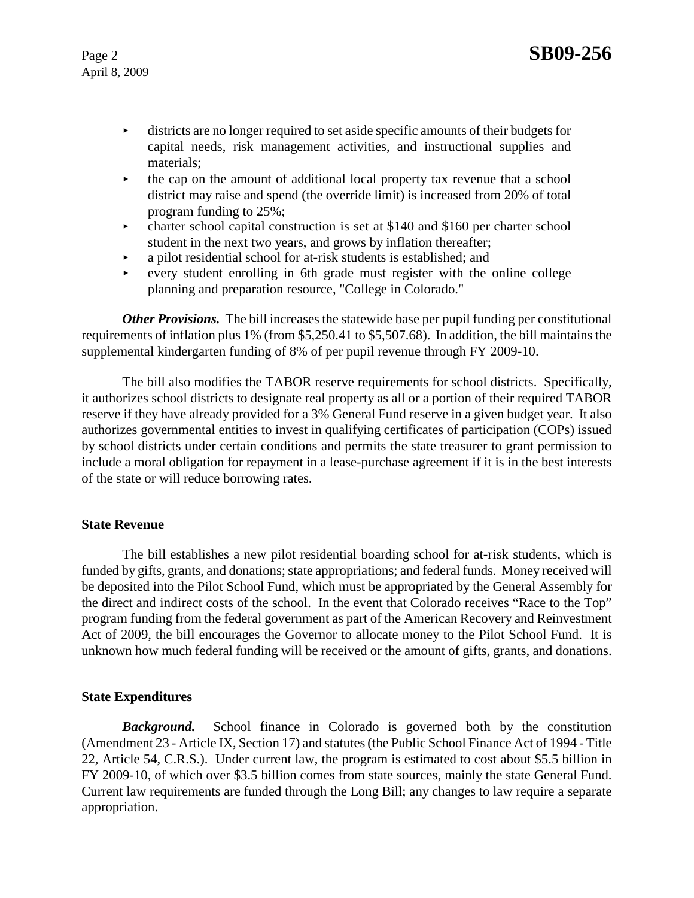- < districts are no longer required to set aside specific amounts of their budgets for capital needs, risk management activities, and instructional supplies and materials;
- < the cap on the amount of additional local property tax revenue that a school district may raise and spend (the override limit) is increased from 20% of total program funding to 25%;
- $\triangleright$  charter school capital construction is set at \$140 and \$160 per charter school student in the next two years, and grows by inflation thereafter;
- $\rightarrow$  a pilot residential school for at-risk students is established; and
- every student enrolling in 6th grade must register with the online college planning and preparation resource, "College in Colorado."

*Other Provisions.* The bill increases the statewide base per pupil funding per constitutional requirements of inflation plus 1% (from \$5,250.41 to \$5,507.68). In addition, the bill maintains the supplemental kindergarten funding of 8% of per pupil revenue through FY 2009-10.

The bill also modifies the TABOR reserve requirements for school districts. Specifically, it authorizes school districts to designate real property as all or a portion of their required TABOR reserve if they have already provided for a 3% General Fund reserve in a given budget year. It also authorizes governmental entities to invest in qualifying certificates of participation (COPs) issued by school districts under certain conditions and permits the state treasurer to grant permission to include a moral obligation for repayment in a lease-purchase agreement if it is in the best interests of the state or will reduce borrowing rates.

### **State Revenue**

The bill establishes a new pilot residential boarding school for at-risk students, which is funded by gifts, grants, and donations; state appropriations; and federal funds. Money received will be deposited into the Pilot School Fund, which must be appropriated by the General Assembly for the direct and indirect costs of the school. In the event that Colorado receives "Race to the Top" program funding from the federal government as part of the American Recovery and Reinvestment Act of 2009, the bill encourages the Governor to allocate money to the Pilot School Fund. It is unknown how much federal funding will be received or the amount of gifts, grants, and donations.

### **State Expenditures**

**Background.** School finance in Colorado is governed both by the constitution (Amendment 23 - Article IX, Section 17) and statutes (the Public School Finance Act of 1994 - Title 22, Article 54, C.R.S.). Under current law, the program is estimated to cost about \$5.5 billion in FY 2009-10, of which over \$3.5 billion comes from state sources, mainly the state General Fund. Current law requirements are funded through the Long Bill; any changes to law require a separate appropriation.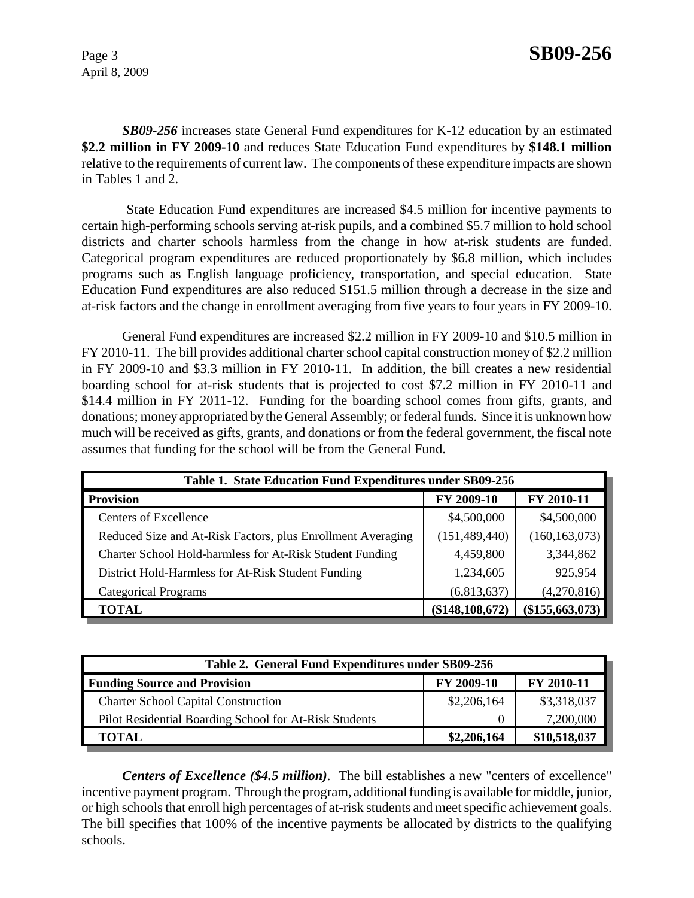*SB09-256* increases state General Fund expenditures for K-12 education by an estimated **\$2.2 million in FY 2009-10** and reduces State Education Fund expenditures by **\$148.1 million** relative to the requirements of current law. The components of these expenditure impacts are shown in Tables 1 and 2.

 State Education Fund expenditures are increased \$4.5 million for incentive payments to certain high-performing schools serving at-risk pupils, and a combined \$5.7 million to hold school districts and charter schools harmless from the change in how at-risk students are funded. Categorical program expenditures are reduced proportionately by \$6.8 million, which includes programs such as English language proficiency, transportation, and special education. State Education Fund expenditures are also reduced \$151.5 million through a decrease in the size and at-risk factors and the change in enrollment averaging from five years to four years in FY 2009-10.

General Fund expenditures are increased \$2.2 million in FY 2009-10 and \$10.5 million in FY 2010-11. The bill provides additional charter school capital construction money of \$2.2 million in FY 2009-10 and \$3.3 million in FY 2010-11. In addition, the bill creates a new residential boarding school for at-risk students that is projected to cost \$7.2 million in FY 2010-11 and \$14.4 million in FY 2011-12. Funding for the boarding school comes from gifts, grants, and donations; money appropriated by the General Assembly; or federal funds. Since it is unknown how much will be received as gifts, grants, and donations or from the federal government, the fiscal note assumes that funding for the school will be from the General Fund.

| Table 1. State Education Fund Expenditures under SB09-256   |                 |                   |  |  |
|-------------------------------------------------------------|-----------------|-------------------|--|--|
| <b>Provision</b>                                            | FY 2009-10      | FY 2010-11        |  |  |
| <b>Centers of Excellence</b>                                | \$4,500,000     | \$4,500,000       |  |  |
| Reduced Size and At-Risk Factors, plus Enrollment Averaging | (151, 489, 440) | (160, 163, 073)   |  |  |
| Charter School Hold-harmless for At-Risk Student Funding    | 4,459,800       | 3,344,862         |  |  |
| District Hold-Harmless for At-Risk Student Funding          | 1,234,605       | 925,954           |  |  |
| <b>Categorical Programs</b>                                 | (6,813,637)     | (4,270,816)       |  |  |
| <b>TOTAL</b>                                                | (\$148,108,672) | $(\$155,663,073)$ |  |  |

| Table 2. General Fund Expenditures under SB09-256      |             |              |  |  |
|--------------------------------------------------------|-------------|--------------|--|--|
| <b>Funding Source and Provision</b>                    | FY 2009-10  | FY 2010-11   |  |  |
| <b>Charter School Capital Construction</b>             | \$2,206,164 | \$3,318,037  |  |  |
| Pilot Residential Boarding School for At-Risk Students |             | 7,200,000    |  |  |
| TOTAL                                                  | \$2,206,164 | \$10,518,037 |  |  |

*Centers of Excellence (\$4.5 million)*. The bill establishes a new "centers of excellence" incentive payment program. Through the program, additional funding is available for middle, junior, or high schools that enroll high percentages of at-risk students and meet specific achievement goals. The bill specifies that 100% of the incentive payments be allocated by districts to the qualifying schools.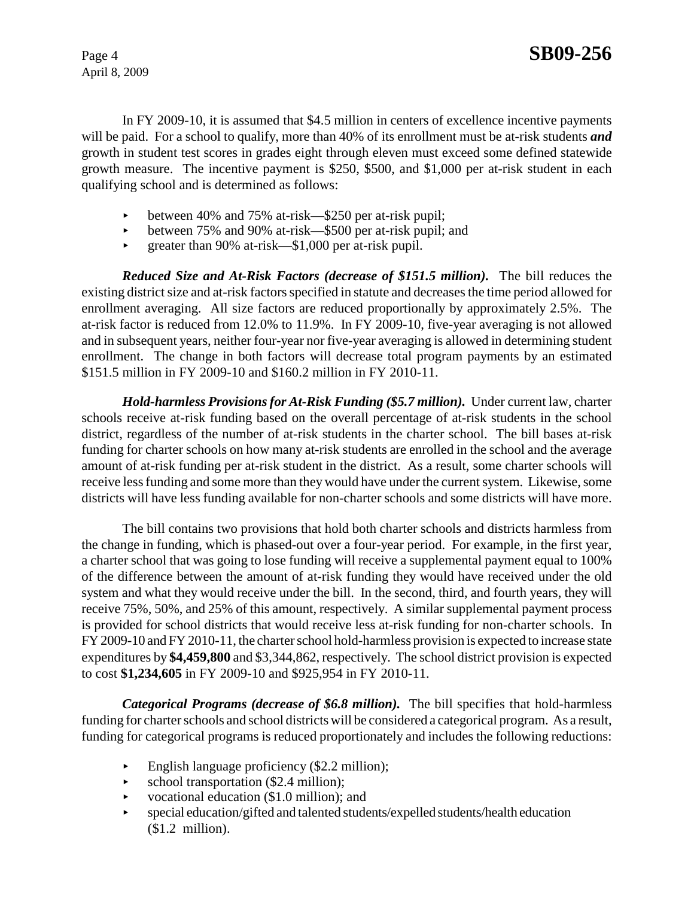In FY 2009-10, it is assumed that \$4.5 million in centers of excellence incentive payments will be paid. For a school to qualify, more than 40% of its enrollment must be at-risk students *and* growth in student test scores in grades eight through eleven must exceed some defined statewide growth measure. The incentive payment is \$250, \$500, and \$1,000 per at-risk student in each qualifying school and is determined as follows:

- < between 40% and 75% at-risk—\$250 per at-risk pupil;
- between 75% and 90% at-risk— $$500$  per at-risk pupil; and
- $\blacktriangleright$  greater than 90% at-risk—\$1,000 per at-risk pupil.

*Reduced Size and At-Risk Factors (decrease of \$151.5 million).* The bill reduces the existing district size and at-risk factors specified in statute and decreases the time period allowed for enrollment averaging. All size factors are reduced proportionally by approximately 2.5%. The at-risk factor is reduced from 12.0% to 11.9%. In FY 2009-10, five-year averaging is not allowed and in subsequent years, neither four-year nor five-year averaging is allowed in determining student enrollment. The change in both factors will decrease total program payments by an estimated \$151.5 million in FY 2009-10 and \$160.2 million in FY 2010-11.

*Hold-harmless Provisions for At-Risk Funding (\$5.7 million).* Under current law, charter schools receive at-risk funding based on the overall percentage of at-risk students in the school district, regardless of the number of at-risk students in the charter school. The bill bases at-risk funding for charter schools on how many at-risk students are enrolled in the school and the average amount of at-risk funding per at-risk student in the district. As a result, some charter schools will receive less funding and some more than they would have under the current system. Likewise, some districts will have less funding available for non-charter schools and some districts will have more.

The bill contains two provisions that hold both charter schools and districts harmless from the change in funding, which is phased-out over a four-year period. For example, in the first year, a charter school that was going to lose funding will receive a supplemental payment equal to 100% of the difference between the amount of at-risk funding they would have received under the old system and what they would receive under the bill. In the second, third, and fourth years, they will receive 75%, 50%, and 25% of this amount, respectively. A similar supplemental payment process is provided for school districts that would receive less at-risk funding for non-charter schools. In FY 2009-10 and FY 2010-11, the charter school hold-harmless provision is expected to increase state expenditures by **\$4,459,800** and \$3,344,862, respectively. The school district provision is expected to cost **\$1,234,605** in FY 2009-10 and \$925,954 in FY 2010-11.

*Categorical Programs (decrease of \$6.8 million).* The bill specifies that hold-harmless funding for charter schools and school districts will be considered a categorical program. As a result, funding for categorical programs is reduced proportionately and includes the following reductions:

- $\blacktriangleright$  English language proficiency (\$2.2 million);
- $\blacktriangleright$  school transportation (\$2.4 million);
- vocational education  $($1.0 \text{ million})$ ; and
- special education/gifted and talented students/expelled students/health education (\$1.2 million).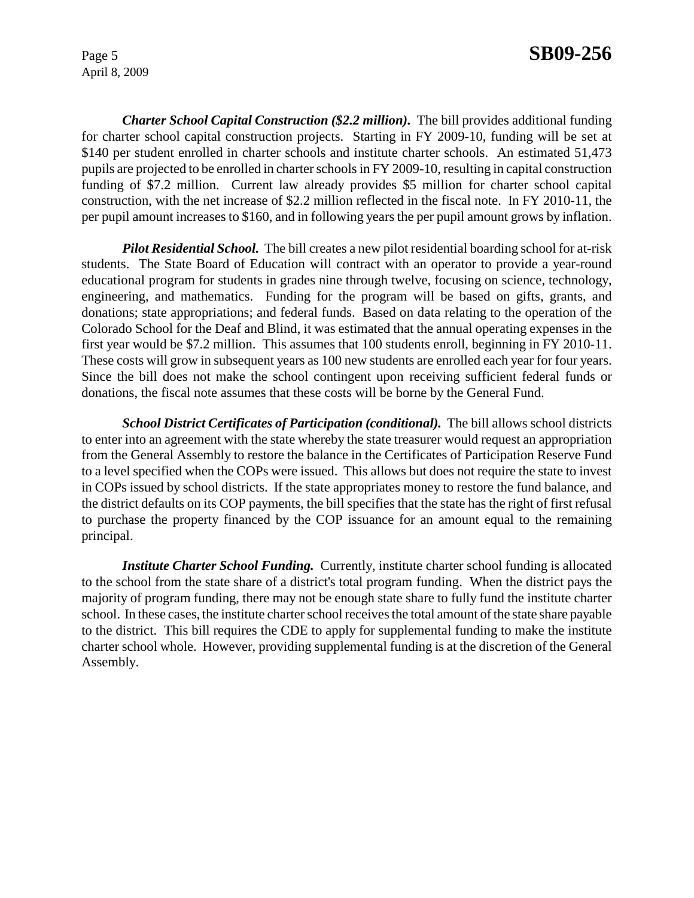*Charter School Capital Construction (\$2.2 million).* The bill provides additional funding for charter school capital construction projects. Starting in FY 2009-10, funding will be set at \$140 per student enrolled in charter schools and institute charter schools. An estimated 51,473 pupils are projected to be enrolled in charter schools in FY 2009-10, resulting in capital construction funding of \$7.2 million. Current law already provides \$5 million for charter school capital construction, with the net increase of \$2.2 million reflected in the fiscal note. In FY 2010-11, the per pupil amount increases to \$160, and in following years the per pupil amount grows by inflation.

*Pilot Residential School.* The bill creates a new pilot residential boarding school for at-risk students. The State Board of Education will contract with an operator to provide a year-round educational program for students in grades nine through twelve, focusing on science, technology, engineering, and mathematics. Funding for the program will be based on gifts, grants, and donations; state appropriations; and federal funds. Based on data relating to the operation of the Colorado School for the Deaf and Blind, it was estimated that the annual operating expenses in the first year would be \$7.2 million. This assumes that 100 students enroll, beginning in FY 2010-11. These costs will grow in subsequent years as 100 new students are enrolled each year for four years. Since the bill does not make the school contingent upon receiving sufficient federal funds or donations, the fiscal note assumes that these costs will be borne by the General Fund.

*School District Certificates of Participation (conditional).* The bill allows school districts to enter into an agreement with the state whereby the state treasurer would request an appropriation from the General Assembly to restore the balance in the Certificates of Participation Reserve Fund to a level specified when the COPs were issued. This allows but does not require the state to invest in COPs issued by school districts. If the state appropriates money to restore the fund balance, and the district defaults on its COP payments, the bill specifies that the state has the right of first refusal to purchase the property financed by the COP issuance for an amount equal to the remaining principal.

*Institute Charter School Funding.* Currently, institute charter school funding is allocated to the school from the state share of a district's total program funding. When the district pays the majority of program funding, there may not be enough state share to fully fund the institute charter school. In these cases, the institute charter school receives the total amount of the state share payable to the district. This bill requires the CDE to apply for supplemental funding to make the institute charter school whole. However, providing supplemental funding is at the discretion of the General Assembly.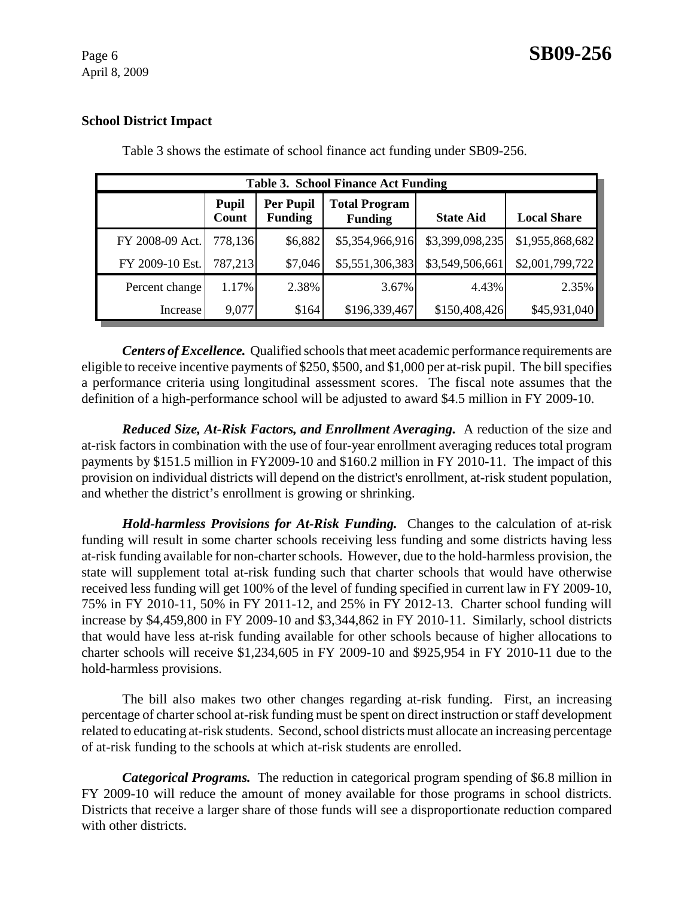## **School District Impact**

| <b>Table 3. School Finance Act Funding</b> |                       |                                    |                                        |                  |                    |
|--------------------------------------------|-----------------------|------------------------------------|----------------------------------------|------------------|--------------------|
|                                            | <b>Pupil</b><br>Count | <b>Per Pupil</b><br><b>Funding</b> | <b>Total Program</b><br><b>Funding</b> | <b>State Aid</b> | <b>Local Share</b> |
| FY 2008-09 Act.                            | 778,136               | \$6,882                            | \$5,354,966,916                        | \$3,399,098,235  | \$1,955,868,682    |
| FY 2009-10 Est.                            | 787,213               | \$7,046                            | \$5,551,306,383                        | \$3,549,506,661  | \$2,001,799,722    |
| Percent change                             | 1.17%                 | 2.38%                              | 3.67%                                  | 4.43%            | 2.35%              |
| Increase                                   | 9,077                 | \$164                              | \$196,339,467                          | \$150,408,426    | \$45,931,040       |

Table 3 shows the estimate of school finance act funding under SB09-256.

*Centers of Excellence.* Qualified schools that meet academic performance requirements are eligible to receive incentive payments of \$250, \$500, and \$1,000 per at-risk pupil. The bill specifies a performance criteria using longitudinal assessment scores. The fiscal note assumes that the definition of a high-performance school will be adjusted to award \$4.5 million in FY 2009-10.

*Reduced Size, At-Risk Factors, and Enrollment Averaging.* A reduction of the size and at-risk factors in combination with the use of four-year enrollment averaging reduces total program payments by \$151.5 million in FY2009-10 and \$160.2 million in FY 2010-11. The impact of this provision on individual districts will depend on the district's enrollment, at-risk student population, and whether the district's enrollment is growing or shrinking.

*Hold-harmless Provisions for At-Risk Funding.* Changes to the calculation of at-risk funding will result in some charter schools receiving less funding and some districts having less at-risk funding available for non-charter schools. However, due to the hold-harmless provision, the state will supplement total at-risk funding such that charter schools that would have otherwise received less funding will get 100% of the level of funding specified in current law in FY 2009-10, 75% in FY 2010-11, 50% in FY 2011-12, and 25% in FY 2012-13. Charter school funding will increase by \$4,459,800 in FY 2009-10 and \$3,344,862 in FY 2010-11. Similarly, school districts that would have less at-risk funding available for other schools because of higher allocations to charter schools will receive \$1,234,605 in FY 2009-10 and \$925,954 in FY 2010-11 due to the hold-harmless provisions.

The bill also makes two other changes regarding at-risk funding. First, an increasing percentage of charter school at-risk funding must be spent on direct instruction or staff development related to educating at-risk students. Second, school districts must allocate an increasing percentage of at-risk funding to the schools at which at-risk students are enrolled.

*Categorical Programs.* The reduction in categorical program spending of \$6.8 million in FY 2009-10 will reduce the amount of money available for those programs in school districts. Districts that receive a larger share of those funds will see a disproportionate reduction compared with other districts.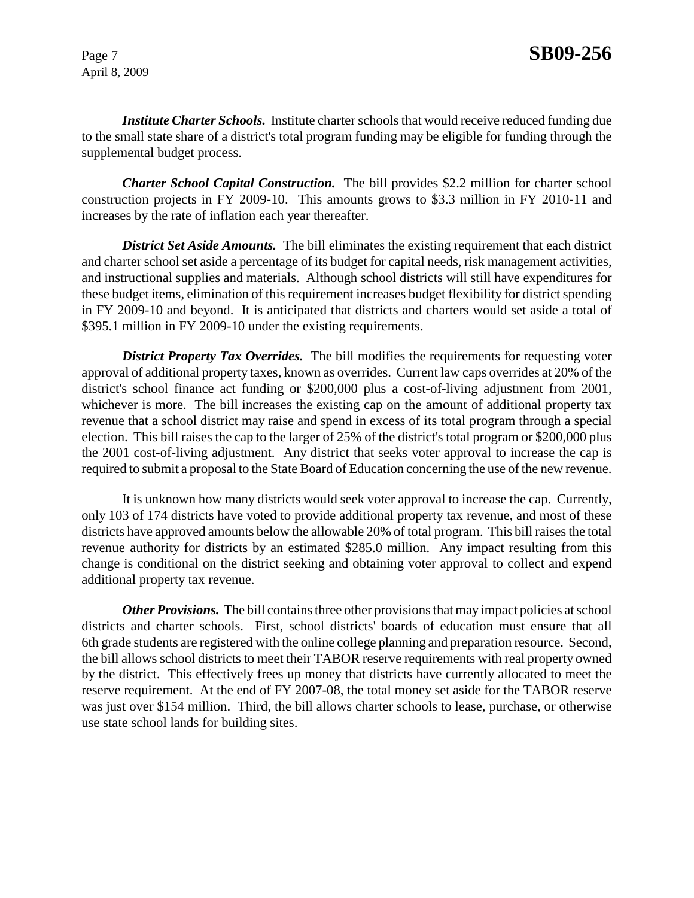*Institute Charter Schools.* Institute charter schools that would receive reduced funding due to the small state share of a district's total program funding may be eligible for funding through the supplemental budget process.

*Charter School Capital Construction.* The bill provides \$2.2 million for charter school construction projects in FY 2009-10. This amounts grows to \$3.3 million in FY 2010-11 and increases by the rate of inflation each year thereafter.

**District Set Aside Amounts.** The bill eliminates the existing requirement that each district and charter school set aside a percentage of its budget for capital needs, risk management activities, and instructional supplies and materials. Although school districts will still have expenditures for these budget items, elimination of this requirement increases budget flexibility for district spending in FY 2009-10 and beyond. It is anticipated that districts and charters would set aside a total of \$395.1 million in FY 2009-10 under the existing requirements.

**District Property Tax Overrides.** The bill modifies the requirements for requesting voter approval of additional property taxes, known as overrides. Current law caps overrides at 20% of the district's school finance act funding or \$200,000 plus a cost-of-living adjustment from 2001, whichever is more. The bill increases the existing cap on the amount of additional property tax revenue that a school district may raise and spend in excess of its total program through a special election. This bill raises the cap to the larger of 25% of the district's total program or \$200,000 plus the 2001 cost-of-living adjustment. Any district that seeks voter approval to increase the cap is required to submit a proposal to the State Board of Education concerning the use of the new revenue.

It is unknown how many districts would seek voter approval to increase the cap. Currently, only 103 of 174 districts have voted to provide additional property tax revenue, and most of these districts have approved amounts below the allowable 20% of total program. This bill raises the total revenue authority for districts by an estimated \$285.0 million. Any impact resulting from this change is conditional on the district seeking and obtaining voter approval to collect and expend additional property tax revenue.

*Other Provisions.* The bill contains three other provisions that may impact policies at school districts and charter schools. First, school districts' boards of education must ensure that all 6th grade students are registered with the online college planning and preparation resource. Second, the bill allows school districts to meet their TABOR reserve requirements with real property owned by the district. This effectively frees up money that districts have currently allocated to meet the reserve requirement. At the end of FY 2007-08, the total money set aside for the TABOR reserve was just over \$154 million. Third, the bill allows charter schools to lease, purchase, or otherwise use state school lands for building sites.